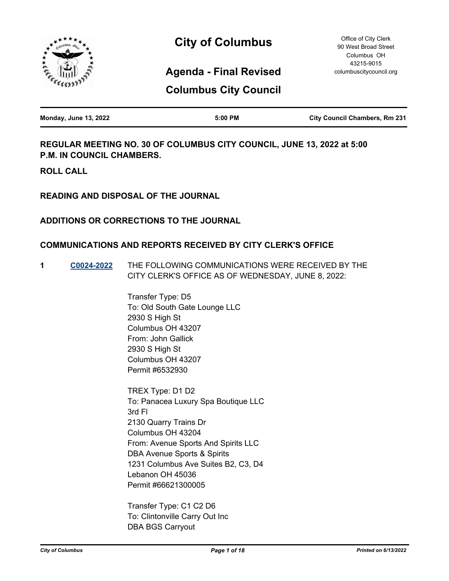

# **City of Columbus**

# **Agenda - Final Revised**

# **Columbus City Council**

| <b>Monday, June 13, 2022</b> | 5:00 PM | <b>City Council Chambers, Rm 231</b> |
|------------------------------|---------|--------------------------------------|
|                              |         |                                      |

**REGULAR MEETING NO. 30 OF COLUMBUS CITY COUNCIL, JUNE 13, 2022 at 5:00 P.M. IN COUNCIL CHAMBERS.**

**ROLL CALL**

**READING AND DISPOSAL OF THE JOURNAL**

## **ADDITIONS OR CORRECTIONS TO THE JOURNAL**

#### **COMMUNICATIONS AND REPORTS RECEIVED BY CITY CLERK'S OFFICE**

**1 [C0024-2022](http://columbus.legistar.com/gateway.aspx?m=l&id=/matter.aspx?key=123239)** THE FOLLOWING COMMUNICATIONS WERE RECEIVED BY THE CITY CLERK'S OFFICE AS OF WEDNESDAY, JUNE 8, 2022:

> Transfer Type: D5 To: Old South Gate Lounge LLC 2930 S High St Columbus OH 43207 From: John Gallick 2930 S High St Columbus OH 43207 Permit #6532930

TREX Type: D1 D2 To: Panacea Luxury Spa Boutique LLC 3rd Fl 2130 Quarry Trains Dr Columbus OH 43204 From: Avenue Sports And Spirits LLC DBA Avenue Sports & Spirits 1231 Columbus Ave Suites B2, C3, D4 Lebanon OH 45036 Permit #66621300005

Transfer Type: C1 C2 D6 To: Clintonville Carry Out Inc DBA BGS Carryout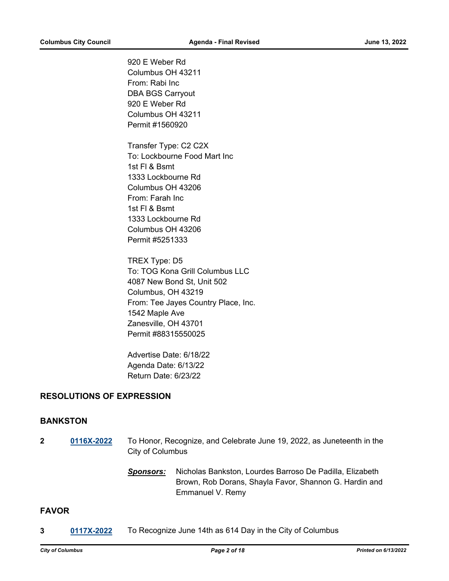920 E Weber Rd Columbus OH 43211 From: Rabi Inc DBA BGS Carryout 920 E Weber Rd Columbus OH 43211 Permit #1560920

Transfer Type: C2 C2X To: Lockbourne Food Mart Inc 1st Fl & Bsmt 1333 Lockbourne Rd Columbus OH 43206 From: Farah Inc 1st Fl & Bsmt 1333 Lockbourne Rd Columbus OH 43206 Permit #5251333

TREX Type: D5 To: TOG Kona Grill Columbus LLC 4087 New Bond St, Unit 502 Columbus, OH 43219 From: Tee Jayes Country Place, Inc. 1542 Maple Ave Zanesville, OH 43701 Permit #88315550025

Advertise Date: 6/18/22 Agenda Date: 6/13/22 Return Date: 6/23/22

#### **RESOLUTIONS OF EXPRESSION**

#### **BANKSTON**

**2 [0116X-2022](http://columbus.legistar.com/gateway.aspx?m=l&id=/matter.aspx?key=123250)** To Honor, Recognize, and Celebrate June 19, 2022, as Juneteenth in the City of Columbus

> *Sponsors:* Nicholas Bankston, Lourdes Barroso De Padilla, Elizabeth Brown, Rob Dorans, Shayla Favor, Shannon G. Hardin and Emmanuel V. Remy

#### **FAVOR**

**3 [0117X-2022](http://columbus.legistar.com/gateway.aspx?m=l&id=/matter.aspx?key=123253)** To Recognize June 14th as 614 Day in the City of Columbus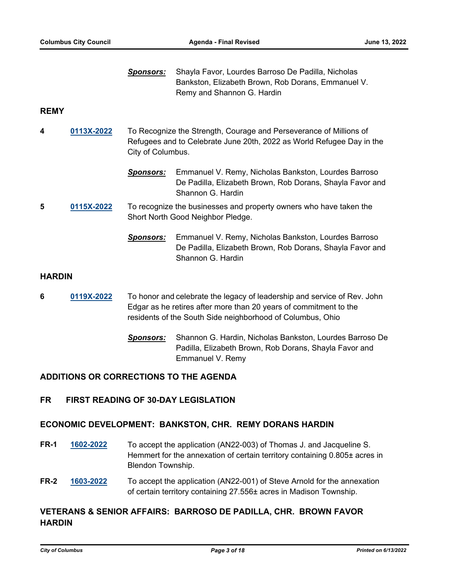*Sponsors:* Shayla Favor, Lourdes Barroso De Padilla, Nicholas Bankston, Elizabeth Brown, Rob Dorans, Emmanuel V. Remy and Shannon G. Hardin

#### **REMY**

- **4 [0113X-2022](http://columbus.legistar.com/gateway.aspx?m=l&id=/matter.aspx?key=123213)** To Recognize the Strength, Courage and Perseverance of Millions of Refugees and to Celebrate June 20th, 2022 as World Refugee Day in the City of Columbus.
	- *Sponsors:* Emmanuel V. Remy, Nicholas Bankston, Lourdes Barroso De Padilla, Elizabeth Brown, Rob Dorans, Shayla Favor and Shannon G. Hardin

#### **5 [0115X-2022](http://columbus.legistar.com/gateway.aspx?m=l&id=/matter.aspx?key=123249)** To recognize the businesses and property owners who have taken the Short North Good Neighbor Pledge.

*Sponsors:* Emmanuel V. Remy, Nicholas Bankston, Lourdes Barroso De Padilla, Elizabeth Brown, Rob Dorans, Shayla Favor and Shannon G. Hardin

#### **HARDIN**

- **6 [0119X-2022](http://columbus.legistar.com/gateway.aspx?m=l&id=/matter.aspx?key=123258)** To honor and celebrate the legacy of leadership and service of Rev. John Edgar as he retires after more than 20 years of commitment to the residents of the South Side neighborhood of Columbus, Ohio
	- *Sponsors:* Shannon G. Hardin, Nicholas Bankston, Lourdes Barroso De Padilla, Elizabeth Brown, Rob Dorans, Shayla Favor and Emmanuel V. Remy

#### **ADDITIONS OR CORRECTIONS TO THE AGENDA**

**FR FIRST READING OF 30-DAY LEGISLATION**

#### **ECONOMIC DEVELOPMENT: BANKSTON, CHR. REMY DORANS HARDIN**

- **FR-1 [1602-2022](http://columbus.legistar.com/gateway.aspx?m=l&id=/matter.aspx?key=123122)** To accept the application (AN22-003) of Thomas J. and Jacqueline S. Hemmert for the annexation of certain territory containing 0.805± acres in Blendon Township.
- **FR-2 [1603-2022](http://columbus.legistar.com/gateway.aspx?m=l&id=/matter.aspx?key=123123)** To accept the application (AN22-001) of Steve Arnold for the annexation of certain territory containing 27.556± acres in Madison Township.

## **VETERANS & SENIOR AFFAIRS: BARROSO DE PADILLA, CHR. BROWN FAVOR HARDIN**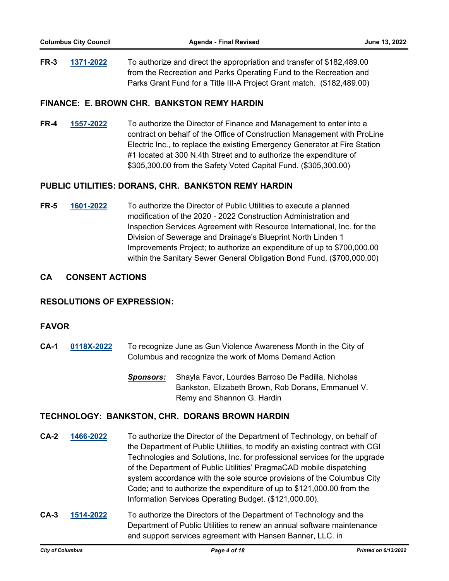**FR-3 [1371-2022](http://columbus.legistar.com/gateway.aspx?m=l&id=/matter.aspx?key=122887)** To authorize and direct the appropriation and transfer of \$182,489.00 from the Recreation and Parks Operating Fund to the Recreation and Parks Grant Fund for a Title III-A Project Grant match. (\$182,489.00)

#### **FINANCE: E. BROWN CHR. BANKSTON REMY HARDIN**

**FR-4 [1557-2022](http://columbus.legistar.com/gateway.aspx?m=l&id=/matter.aspx?key=123075)** To authorize the Director of Finance and Management to enter into a contract on behalf of the Office of Construction Management with ProLine Electric Inc., to replace the existing Emergency Generator at Fire Station #1 located at 300 N.4th Street and to authorize the expenditure of \$305,300.00 from the Safety Voted Capital Fund. (\$305,300.00)

#### **PUBLIC UTILITIES: DORANS, CHR. BANKSTON REMY HARDIN**

**FR-5 [1601-2022](http://columbus.legistar.com/gateway.aspx?m=l&id=/matter.aspx?key=123121)** To authorize the Director of Public Utilities to execute a planned modification of the 2020 - 2022 Construction Administration and Inspection Services Agreement with Resource International, Inc. for the Division of Sewerage and Drainage's Blueprint North Linden 1 Improvements Project; to authorize an expenditure of up to \$700,000.00 within the Sanitary Sewer General Obligation Bond Fund. (\$700,000.00)

#### **CA CONSENT ACTIONS**

#### **RESOLUTIONS OF EXPRESSION:**

#### **FAVOR**

- **CA-1 [0118X-2022](http://columbus.legistar.com/gateway.aspx?m=l&id=/matter.aspx?key=123256)** To recognize June as Gun Violence Awareness Month in the City of Columbus and recognize the work of Moms Demand Action
	- *Sponsors:* Shayla Favor, Lourdes Barroso De Padilla, Nicholas Bankston, Elizabeth Brown, Rob Dorans, Emmanuel V. Remy and Shannon G. Hardin

#### **TECHNOLOGY: BANKSTON, CHR. DORANS BROWN HARDIN**

- **CA-2 [1466-2022](http://columbus.legistar.com/gateway.aspx?m=l&id=/matter.aspx?key=122983)** To authorize the Director of the Department of Technology, on behalf of the Department of Public Utilities, to modify an existing contract with CGI Technologies and Solutions, Inc. for professional services for the upgrade of the Department of Public Utilities' PragmaCAD mobile dispatching system accordance with the sole source provisions of the Columbus City Code; and to authorize the expenditure of up to \$121,000.00 from the Information Services Operating Budget. (\$121,000.00).
- **CA-3 [1514-2022](http://columbus.legistar.com/gateway.aspx?m=l&id=/matter.aspx?key=123032)** To authorize the Directors of the Department of Technology and the Department of Public Utilities to renew an annual software maintenance and support services agreement with Hansen Banner, LLC. in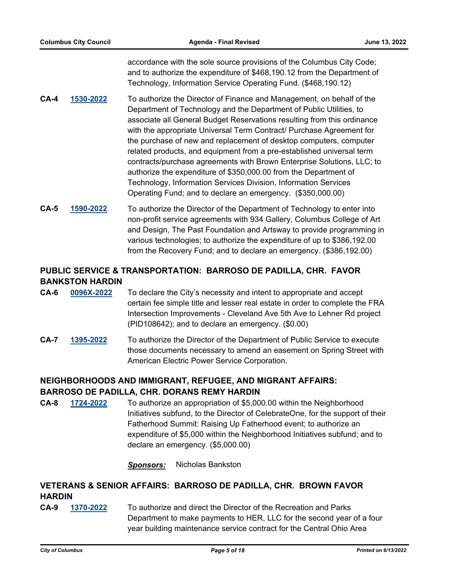accordance with the sole source provisions of the Columbus City Code; and to authorize the expenditure of \$468,190.12 from the Department of Technology, Information Service Operating Fund. (\$468,190.12)

- **CA-4 [1530-2022](http://columbus.legistar.com/gateway.aspx?m=l&id=/matter.aspx?key=123048)** To authorize the Director of Finance and Management, on behalf of the Department of Technology and the Department of Public Utilities, to associate all General Budget Reservations resulting from this ordinance with the appropriate Universal Term Contract/ Purchase Agreement for the purchase of new and replacement of desktop computers, computer related products, and equipment from a pre-established universal term contracts/purchase agreements with Brown Enterprise Solutions, LLC; to authorize the expenditure of \$350,000.00 from the Department of Technology, Information Services Division, Information Services Operating Fund; and to declare an emergency. (\$350,000.00)
- **CA-5 [1590-2022](http://columbus.legistar.com/gateway.aspx?m=l&id=/matter.aspx?key=123110)** To authorize the Director of the Department of Technology to enter into non-profit service agreements with 934 Gallery, Columbus College of Art and Design, The Past Foundation and Artsway to provide programming in various technologies; to authorize the expenditure of up to \$386,192.00 from the Recovery Fund; and to declare an emergency. (\$386,192.00)

# **PUBLIC SERVICE & TRANSPORTATION: BARROSO DE PADILLA, CHR. FAVOR BANKSTON HARDIN**

- **CA-6 [0096X-2022](http://columbus.legistar.com/gateway.aspx?m=l&id=/matter.aspx?key=123101)** To declare the City's necessity and intent to appropriate and accept certain fee simple title and lesser real estate in order to complete the FRA Intersection Improvements - Cleveland Ave 5th Ave to Lehner Rd project (PID108642); and to declare an emergency. (\$0.00)
- **CA-7 [1395-2022](http://columbus.legistar.com/gateway.aspx?m=l&id=/matter.aspx?key=122912)** To authorize the Director of the Department of Public Service to execute those documents necessary to amend an easement on Spring Street with American Electric Power Service Corporation.

# **NEIGHBORHOODS AND IMMIGRANT, REFUGEE, AND MIGRANT AFFAIRS: BARROSO DE PADILLA, CHR. DORANS REMY HARDIN**

**CA-8 [1724-2022](http://columbus.legistar.com/gateway.aspx?m=l&id=/matter.aspx?key=123245)** To authorize an appropriation of \$5,000.00 within the Neighborhood Initiatives subfund, to the Director of CelebrateOne, for the support of their Fatherhood Summit: Raising Up Fatherhood event; to authorize an expenditure of \$5,000 within the Neighborhood Initiatives subfund; and to declare an emergency. (\$5,000.00)

*Sponsors:* Nicholas Bankston

# **VETERANS & SENIOR AFFAIRS: BARROSO DE PADILLA, CHR. BROWN FAVOR HARDIN**

**CA-9 [1370-2022](http://columbus.legistar.com/gateway.aspx?m=l&id=/matter.aspx?key=122886)** To authorize and direct the Director of the Recreation and Parks Department to make payments to HER, LLC for the second year of a four year building maintenance service contract for the Central Ohio Area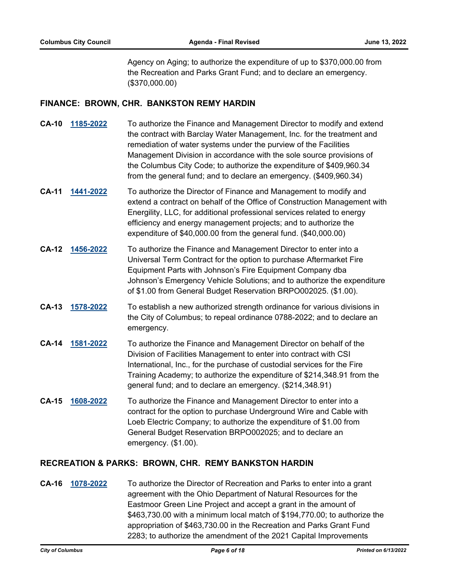Agency on Aging; to authorize the expenditure of up to \$370,000.00 from the Recreation and Parks Grant Fund; and to declare an emergency. (\$370,000.00)

#### **FINANCE: BROWN, CHR. BANKSTON REMY HARDIN**

- **CA-10 [1185-2022](http://columbus.legistar.com/gateway.aspx?m=l&id=/matter.aspx?key=122700)** To authorize the Finance and Management Director to modify and extend the contract with Barclay Water Management, Inc. for the treatment and remediation of water systems under the purview of the Facilities Management Division in accordance with the sole source provisions of the Columbus City Code; to authorize the expenditure of \$409,960.34 from the general fund; and to declare an emergency. (\$409,960.34)
- **CA-11 [1441-2022](http://columbus.legistar.com/gateway.aspx?m=l&id=/matter.aspx?key=122958)** To authorize the Director of Finance and Management to modify and extend a contract on behalf of the Office of Construction Management with Energility, LLC, for additional professional services related to energy efficiency and energy management projects; and to authorize the expenditure of \$40,000.00 from the general fund. (\$40,000.00)
- **CA-12 [1456-2022](http://columbus.legistar.com/gateway.aspx?m=l&id=/matter.aspx?key=122973)** To authorize the Finance and Management Director to enter into a Universal Term Contract for the option to purchase Aftermarket Fire Equipment Parts with Johnson's Fire Equipment Company dba Johnson's Emergency Vehicle Solutions; and to authorize the expenditure of \$1.00 from General Budget Reservation BRPO002025. (\$1.00).
- **CA-13 [1578-2022](http://columbus.legistar.com/gateway.aspx?m=l&id=/matter.aspx?key=123096)** To establish a new authorized strength ordinance for various divisions in the City of Columbus; to repeal ordinance 0788-2022; and to declare an emergency.
- **CA-14 [1581-2022](http://columbus.legistar.com/gateway.aspx?m=l&id=/matter.aspx?key=123099)** To authorize the Finance and Management Director on behalf of the Division of Facilities Management to enter into contract with CSI International, Inc., for the purchase of custodial services for the Fire Training Academy; to authorize the expenditure of \$214,348.91 from the general fund; and to declare an emergency. (\$214,348.91)
- **CA-15 [1608-2022](http://columbus.legistar.com/gateway.aspx?m=l&id=/matter.aspx?key=123128)** To authorize the Finance and Management Director to enter into a contract for the option to purchase Underground Wire and Cable with Loeb Electric Company; to authorize the expenditure of \$1.00 from General Budget Reservation BRPO002025; and to declare an emergency. (\$1.00).

#### **RECREATION & PARKS: BROWN, CHR. REMY BANKSTON HARDIN**

**CA-16 [1078-2022](http://columbus.legistar.com/gateway.aspx?m=l&id=/matter.aspx?key=122592)** To authorize the Director of Recreation and Parks to enter into a grant agreement with the Ohio Department of Natural Resources for the Eastmoor Green Line Project and accept a grant in the amount of \$463,730.00 with a minimum local match of \$194,770.00; to authorize the appropriation of \$463,730.00 in the Recreation and Parks Grant Fund 2283; to authorize the amendment of the 2021 Capital Improvements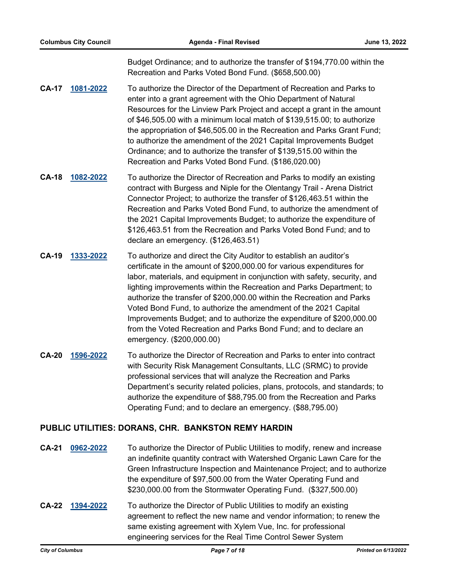Budget Ordinance; and to authorize the transfer of \$194,770.00 within the Recreation and Parks Voted Bond Fund. (\$658,500.00)

- **CA-17 [1081-2022](http://columbus.legistar.com/gateway.aspx?m=l&id=/matter.aspx?key=122595)** To authorize the Director of the Department of Recreation and Parks to enter into a grant agreement with the Ohio Department of Natural Resources for the Linview Park Project and accept a grant in the amount of \$46,505.00 with a minimum local match of \$139,515.00; to authorize the appropriation of \$46,505.00 in the Recreation and Parks Grant Fund; to authorize the amendment of the 2021 Capital Improvements Budget Ordinance; and to authorize the transfer of \$139,515.00 within the Recreation and Parks Voted Bond Fund. (\$186,020.00)
- **CA-18 [1082-2022](http://columbus.legistar.com/gateway.aspx?m=l&id=/matter.aspx?key=122596)** To authorize the Director of Recreation and Parks to modify an existing contract with Burgess and Niple for the Olentangy Trail - Arena District Connector Project; to authorize the transfer of \$126,463.51 within the Recreation and Parks Voted Bond Fund, to authorize the amendment of the 2021 Capital Improvements Budget; to authorize the expenditure of \$126,463.51 from the Recreation and Parks Voted Bond Fund; and to declare an emergency. (\$126,463.51)
- **CA-19 [1333-2022](http://columbus.legistar.com/gateway.aspx?m=l&id=/matter.aspx?key=122849)** To authorize and direct the City Auditor to establish an auditor's certificate in the amount of \$200,000.00 for various expenditures for labor, materials, and equipment in conjunction with safety, security, and lighting improvements within the Recreation and Parks Department; to authorize the transfer of \$200,000.00 within the Recreation and Parks Voted Bond Fund, to authorize the amendment of the 2021 Capital Improvements Budget; and to authorize the expenditure of \$200,000.00 from the Voted Recreation and Parks Bond Fund; and to declare an emergency. (\$200,000.00)
- **CA-20 [1596-2022](http://columbus.legistar.com/gateway.aspx?m=l&id=/matter.aspx?key=123116)** To authorize the Director of Recreation and Parks to enter into contract with Security Risk Management Consultants, LLC (SRMC) to provide professional services that will analyze the Recreation and Parks Department's security related policies, plans, protocols, and standards; to authorize the expenditure of \$88,795.00 from the Recreation and Parks Operating Fund; and to declare an emergency. (\$88,795.00)

#### **PUBLIC UTILITIES: DORANS, CHR. BANKSTON REMY HARDIN**

- **CA-21 [0962-2022](http://columbus.legistar.com/gateway.aspx?m=l&id=/matter.aspx?key=122474)** To authorize the Director of Public Utilities to modify, renew and increase an indefinite quantity contract with Watershed Organic Lawn Care for the Green Infrastructure Inspection and Maintenance Project; and to authorize the expenditure of \$97,500.00 from the Water Operating Fund and \$230,000.00 from the Stormwater Operating Fund. (\$327,500.00)
- **CA-22 [1394-2022](http://columbus.legistar.com/gateway.aspx?m=l&id=/matter.aspx?key=122911)** To authorize the Director of Public Utilities to modify an existing agreement to reflect the new name and vendor information; to renew the same existing agreement with Xylem Vue, Inc. for professional engineering services for the Real Time Control Sewer System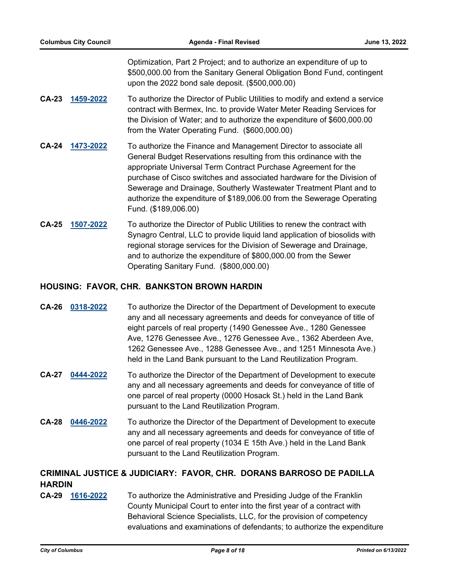Optimization, Part 2 Project; and to authorize an expenditure of up to \$500,000.00 from the Sanitary General Obligation Bond Fund, contingent upon the 2022 bond sale deposit. (\$500,000.00)

- **CA-23 [1459-2022](http://columbus.legistar.com/gateway.aspx?m=l&id=/matter.aspx?key=122976)** To authorize the Director of Public Utilities to modify and extend a service contract with Bermex, Inc. to provide Water Meter Reading Services for the Division of Water; and to authorize the expenditure of \$600,000.00 from the Water Operating Fund. (\$600,000.00)
- **CA-24 [1473-2022](http://columbus.legistar.com/gateway.aspx?m=l&id=/matter.aspx?key=122990)** To authorize the Finance and Management Director to associate all General Budget Reservations resulting from this ordinance with the appropriate Universal Term Contract Purchase Agreement for the purchase of Cisco switches and associated hardware for the Division of Sewerage and Drainage, Southerly Wastewater Treatment Plant and to authorize the expenditure of \$189,006.00 from the Sewerage Operating Fund. (\$189,006.00)
- **CA-25 [1507-2022](http://columbus.legistar.com/gateway.aspx?m=l&id=/matter.aspx?key=123025)** To authorize the Director of Public Utilities to renew the contract with Synagro Central, LLC to provide liquid land application of biosolids with regional storage services for the Division of Sewerage and Drainage, and to authorize the expenditure of \$800,000.00 from the Sewer Operating Sanitary Fund. (\$800,000.00)

#### **HOUSING: FAVOR, CHR. BANKSTON BROWN HARDIN**

- **CA-26 [0318-2022](http://columbus.legistar.com/gateway.aspx?m=l&id=/matter.aspx?key=121830)** To authorize the Director of the Department of Development to execute any and all necessary agreements and deeds for conveyance of title of eight parcels of real property (1490 Genessee Ave., 1280 Genessee Ave, 1276 Genessee Ave., 1276 Genessee Ave., 1362 Aberdeen Ave, 1262 Genessee Ave., 1288 Genessee Ave., and 1251 Minnesota Ave.) held in the Land Bank pursuant to the Land Reutilization Program.
- **CA-27 [0444-2022](http://columbus.legistar.com/gateway.aspx?m=l&id=/matter.aspx?key=121956)** To authorize the Director of the Department of Development to execute any and all necessary agreements and deeds for conveyance of title of one parcel of real property (0000 Hosack St.) held in the Land Bank pursuant to the Land Reutilization Program.
- **CA-28 [0446-2022](http://columbus.legistar.com/gateway.aspx?m=l&id=/matter.aspx?key=121958)** To authorize the Director of the Department of Development to execute any and all necessary agreements and deeds for conveyance of title of one parcel of real property (1034 E 15th Ave.) held in the Land Bank pursuant to the Land Reutilization Program.

# **CRIMINAL JUSTICE & JUDICIARY: FAVOR, CHR. DORANS BARROSO DE PADILLA HARDIN**

**CA-29 [1616-2022](http://columbus.legistar.com/gateway.aspx?m=l&id=/matter.aspx?key=123136)** To authorize the Administrative and Presiding Judge of the Franklin County Municipal Court to enter into the first year of a contract with Behavioral Science Specialists, LLC, for the provision of competency evaluations and examinations of defendants; to authorize the expenditure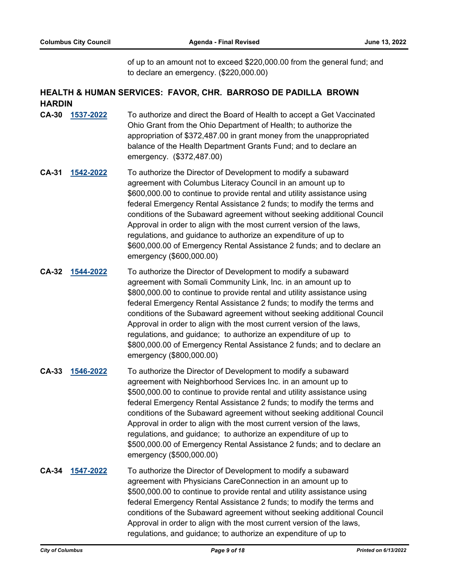of up to an amount not to exceed \$220,000.00 from the general fund; and to declare an emergency. (\$220,000.00)

# **HEALTH & HUMAN SERVICES: FAVOR, CHR. BARROSO DE PADILLA BROWN HARDIN**

- **CA-30 [1537-2022](http://columbus.legistar.com/gateway.aspx?m=l&id=/matter.aspx?key=123055)** To authorize and direct the Board of Health to accept a Get Vaccinated Ohio Grant from the Ohio Department of Health; to authorize the appropriation of \$372,487.00 in grant money from the unappropriated balance of the Health Department Grants Fund; and to declare an emergency. (\$372,487.00)
- **CA-31 [1542-2022](http://columbus.legistar.com/gateway.aspx?m=l&id=/matter.aspx?key=123060)** To authorize the Director of Development to modify a subaward agreement with Columbus Literacy Council in an amount up to \$600,000.00 to continue to provide rental and utility assistance using federal Emergency Rental Assistance 2 funds; to modify the terms and conditions of the Subaward agreement without seeking additional Council Approval in order to align with the most current version of the laws, regulations, and guidance to authorize an expenditure of up to \$600,000.00 of Emergency Rental Assistance 2 funds; and to declare an emergency (\$600,000.00)
- **CA-32 [1544-2022](http://columbus.legistar.com/gateway.aspx?m=l&id=/matter.aspx?key=123062)** To authorize the Director of Development to modify a subaward agreement with Somali Community Link, Inc. in an amount up to \$800,000.00 to continue to provide rental and utility assistance using federal Emergency Rental Assistance 2 funds; to modify the terms and conditions of the Subaward agreement without seeking additional Council Approval in order to align with the most current version of the laws, regulations, and guidance; to authorize an expenditure of up to \$800,000.00 of Emergency Rental Assistance 2 funds; and to declare an emergency (\$800,000.00)
- **CA-33 [1546-2022](http://columbus.legistar.com/gateway.aspx?m=l&id=/matter.aspx?key=123064)** To authorize the Director of Development to modify a subaward agreement with Neighborhood Services Inc. in an amount up to \$500,000.00 to continue to provide rental and utility assistance using federal Emergency Rental Assistance 2 funds; to modify the terms and conditions of the Subaward agreement without seeking additional Council Approval in order to align with the most current version of the laws, regulations, and guidance; to authorize an expenditure of up to \$500,000.00 of Emergency Rental Assistance 2 funds; and to declare an emergency (\$500,000.00)
- **CA-34 [1547-2022](http://columbus.legistar.com/gateway.aspx?m=l&id=/matter.aspx?key=123065)** To authorize the Director of Development to modify a subaward agreement with Physicians CareConnection in an amount up to \$500,000.00 to continue to provide rental and utility assistance using federal Emergency Rental Assistance 2 funds; to modify the terms and conditions of the Subaward agreement without seeking additional Council Approval in order to align with the most current version of the laws, regulations, and guidance; to authorize an expenditure of up to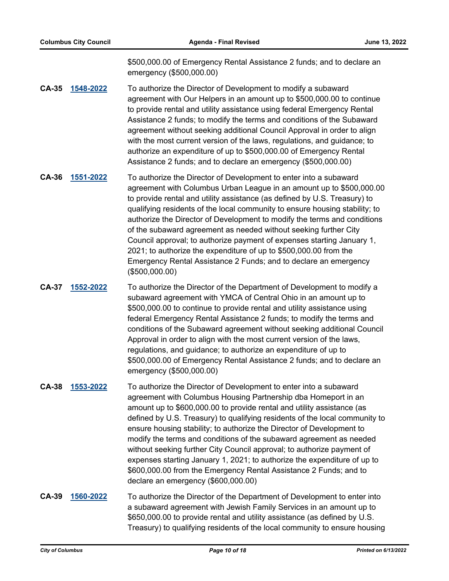\$500,000.00 of Emergency Rental Assistance 2 funds; and to declare an emergency (\$500,000.00)

- **CA-35 [1548-2022](http://columbus.legistar.com/gateway.aspx?m=l&id=/matter.aspx?key=123066)** To authorize the Director of Development to modify a subaward agreement with Our Helpers in an amount up to \$500,000.00 to continue to provide rental and utility assistance using federal Emergency Rental Assistance 2 funds; to modify the terms and conditions of the Subaward agreement without seeking additional Council Approval in order to align with the most current version of the laws, regulations, and guidance; to authorize an expenditure of up to \$500,000.00 of Emergency Rental Assistance 2 funds; and to declare an emergency (\$500,000.00)
- **CA-36 [1551-2022](http://columbus.legistar.com/gateway.aspx?m=l&id=/matter.aspx?key=123069)** To authorize the Director of Development to enter into a subaward agreement with Columbus Urban League in an amount up to \$500,000.00 to provide rental and utility assistance (as defined by U.S. Treasury) to qualifying residents of the local community to ensure housing stability; to authorize the Director of Development to modify the terms and conditions of the subaward agreement as needed without seeking further City Council approval; to authorize payment of expenses starting January 1, 2021; to authorize the expenditure of up to \$500,000.00 from the Emergency Rental Assistance 2 Funds; and to declare an emergency (\$500,000.00)
- **CA-37 [1552-2022](http://columbus.legistar.com/gateway.aspx?m=l&id=/matter.aspx?key=123070)** To authorize the Director of the Department of Development to modify a subaward agreement with YMCA of Central Ohio in an amount up to \$500,000.00 to continue to provide rental and utility assistance using federal Emergency Rental Assistance 2 funds; to modify the terms and conditions of the Subaward agreement without seeking additional Council Approval in order to align with the most current version of the laws, regulations, and guidance; to authorize an expenditure of up to \$500,000.00 of Emergency Rental Assistance 2 funds; and to declare an emergency (\$500,000.00)
- **CA-38 [1553-2022](http://columbus.legistar.com/gateway.aspx?m=l&id=/matter.aspx?key=123071)** To authorize the Director of Development to enter into a subaward agreement with Columbus Housing Partnership dba Homeport in an amount up to \$600,000.00 to provide rental and utility assistance (as defined by U.S. Treasury) to qualifying residents of the local community to ensure housing stability; to authorize the Director of Development to modify the terms and conditions of the subaward agreement as needed without seeking further City Council approval; to authorize payment of expenses starting January 1, 2021; to authorize the expenditure of up to \$600,000.00 from the Emergency Rental Assistance 2 Funds; and to declare an emergency (\$600,000.00)
- **CA-39 [1560-2022](http://columbus.legistar.com/gateway.aspx?m=l&id=/matter.aspx?key=123078)** To authorize the Director of the Department of Development to enter into a subaward agreement with Jewish Family Services in an amount up to \$650,000.00 to provide rental and utility assistance (as defined by U.S. Treasury) to qualifying residents of the local community to ensure housing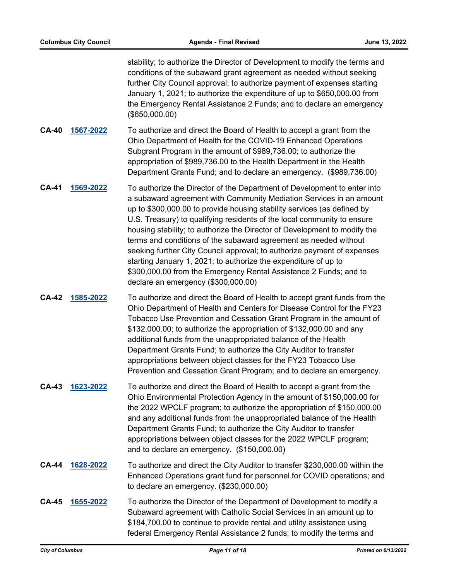stability; to authorize the Director of Development to modify the terms and conditions of the subaward grant agreement as needed without seeking further City Council approval; to authorize payment of expenses starting January 1, 2021; to authorize the expenditure of up to \$650,000.00 from the Emergency Rental Assistance 2 Funds; and to declare an emergency (\$650,000.00)

**CA-40 [1567-2022](http://columbus.legistar.com/gateway.aspx?m=l&id=/matter.aspx?key=123085)** To authorize and direct the Board of Health to accept a grant from the Ohio Department of Health for the COVID-19 Enhanced Operations Subgrant Program in the amount of \$989,736.00; to authorize the appropriation of \$989,736.00 to the Health Department in the Health Department Grants Fund; and to declare an emergency. (\$989,736.00)

- **CA-41 [1569-2022](http://columbus.legistar.com/gateway.aspx?m=l&id=/matter.aspx?key=123087)** To authorize the Director of the Department of Development to enter into a subaward agreement with Community Mediation Services in an amount up to \$300,000.00 to provide housing stability services (as defined by U.S. Treasury) to qualifying residents of the local community to ensure housing stability; to authorize the Director of Development to modify the terms and conditions of the subaward agreement as needed without seeking further City Council approval; to authorize payment of expenses starting January 1, 2021; to authorize the expenditure of up to \$300,000.00 from the Emergency Rental Assistance 2 Funds; and to declare an emergency (\$300,000.00)
- **CA-42 [1585-2022](http://columbus.legistar.com/gateway.aspx?m=l&id=/matter.aspx?key=123105)** To authorize and direct the Board of Health to accept grant funds from the Ohio Department of Health and Centers for Disease Control for the FY23 Tobacco Use Prevention and Cessation Grant Program in the amount of \$132,000.00; to authorize the appropriation of \$132,000.00 and any additional funds from the unappropriated balance of the Health Department Grants Fund; to authorize the City Auditor to transfer appropriations between object classes for the FY23 Tobacco Use Prevention and Cessation Grant Program; and to declare an emergency.
- **CA-43 [1623-2022](http://columbus.legistar.com/gateway.aspx?m=l&id=/matter.aspx?key=123143)** To authorize and direct the Board of Health to accept a grant from the Ohio Environmental Protection Agency in the amount of \$150,000.00 for the 2022 WPCLF program; to authorize the appropriation of \$150,000.00 and any additional funds from the unappropriated balance of the Health Department Grants Fund; to authorize the City Auditor to transfer appropriations between object classes for the 2022 WPCLF program; and to declare an emergency. (\$150,000.00)
- **CA-44 [1628-2022](http://columbus.legistar.com/gateway.aspx?m=l&id=/matter.aspx?key=123148)** To authorize and direct the City Auditor to transfer \$230,000.00 within the Enhanced Operations grant fund for personnel for COVID operations; and to declare an emergency. (\$230,000.00)
- **CA-45 [1655-2022](http://columbus.legistar.com/gateway.aspx?m=l&id=/matter.aspx?key=123175)** To authorize the Director of the Department of Development to modify a Subaward agreement with Catholic Social Services in an amount up to \$184,700.00 to continue to provide rental and utility assistance using federal Emergency Rental Assistance 2 funds; to modify the terms and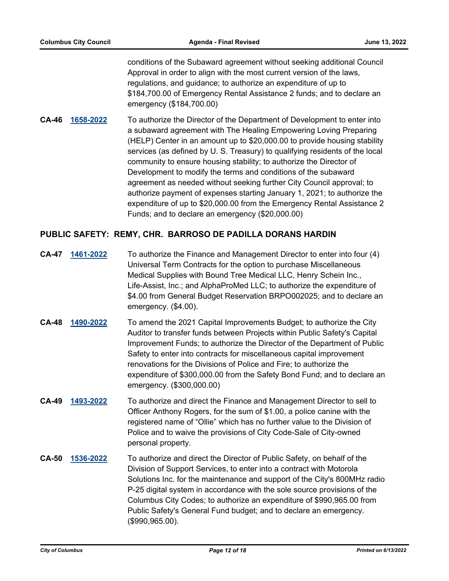conditions of the Subaward agreement without seeking additional Council Approval in order to align with the most current version of the laws, regulations, and guidance; to authorize an expenditure of up to \$184,700.00 of Emergency Rental Assistance 2 funds; and to declare an emergency (\$184,700.00)

**CA-46 [1658-2022](http://columbus.legistar.com/gateway.aspx?m=l&id=/matter.aspx?key=123178)** To authorize the Director of the Department of Development to enter into a subaward agreement with The Healing Empowering Loving Preparing (HELP) Center in an amount up to \$20,000.00 to provide housing stability services (as defined by U. S. Treasury) to qualifying residents of the local community to ensure housing stability; to authorize the Director of Development to modify the terms and conditions of the subaward agreement as needed without seeking further City Council approval; to authorize payment of expenses starting January 1, 2021; to authorize the expenditure of up to \$20,000.00 from the Emergency Rental Assistance 2 Funds; and to declare an emergency (\$20,000.00)

#### **PUBLIC SAFETY: REMY, CHR. BARROSO DE PADILLA DORANS HARDIN**

- **CA-47 [1461-2022](http://columbus.legistar.com/gateway.aspx?m=l&id=/matter.aspx?key=122978)** To authorize the Finance and Management Director to enter into four (4) Universal Term Contracts for the option to purchase Miscellaneous Medical Supplies with Bound Tree Medical LLC, Henry Schein Inc., Life-Assist, Inc.; and AlphaProMed LLC; to authorize the expenditure of \$4.00 from General Budget Reservation BRPO002025; and to declare an emergency. (\$4.00).
- **CA-48 [1490-2022](http://columbus.legistar.com/gateway.aspx?m=l&id=/matter.aspx?key=123008)** To amend the 2021 Capital Improvements Budget; to authorize the City Auditor to transfer funds between Projects within Public Safety's Capital Improvement Funds; to authorize the Director of the Department of Public Safety to enter into contracts for miscellaneous capital improvement renovations for the Divisions of Police and Fire; to authorize the expenditure of \$300,000.00 from the Safety Bond Fund; and to declare an emergency. (\$300,000.00)
- **CA-49 [1493-2022](http://columbus.legistar.com/gateway.aspx?m=l&id=/matter.aspx?key=123011)** To authorize and direct the Finance and Management Director to sell to Officer Anthony Rogers, for the sum of \$1.00, a police canine with the registered name of "Ollie" which has no further value to the Division of Police and to waive the provisions of City Code-Sale of City-owned personal property.
- **CA-50 [1536-2022](http://columbus.legistar.com/gateway.aspx?m=l&id=/matter.aspx?key=123054)** To authorize and direct the Director of Public Safety, on behalf of the Division of Support Services, to enter into a contract with Motorola Solutions Inc. for the maintenance and support of the City's 800MHz radio P-25 digital system in accordance with the sole source provisions of the Columbus City Codes; to authorize an expenditure of \$990,965.00 from Public Safety's General Fund budget; and to declare an emergency. (\$990,965.00).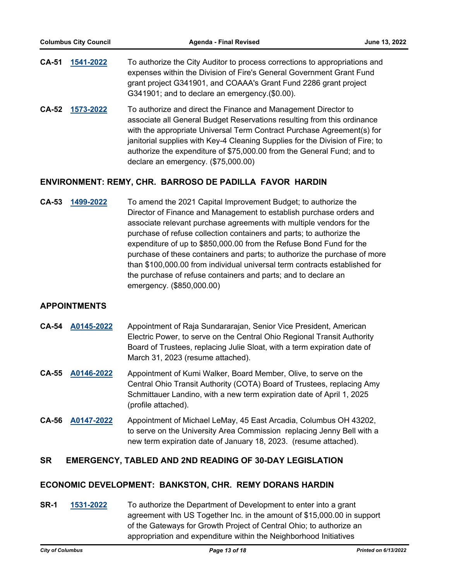| 1541-2022 | To authorize the City Auditor to process corrections to appropriations and |
|-----------|----------------------------------------------------------------------------|
|           | expenses within the Division of Fire's General Government Grant Fund       |
|           | grant project G341901, and COAAA's Grant Fund 2286 grant project           |
|           | G341901; and to declare an emergency. (\$0.00).                            |
|           |                                                                            |

**CA-52 [1573-2022](http://columbus.legistar.com/gateway.aspx?m=l&id=/matter.aspx?key=123091)** To authorize and direct the Finance and Management Director to associate all General Budget Reservations resulting from this ordinance with the appropriate Universal Term Contract Purchase Agreement(s) for janitorial supplies with Key-4 Cleaning Supplies for the Division of Fire; to authorize the expenditure of \$75,000.00 from the General Fund; and to declare an emergency. (\$75,000.00)

#### **ENVIRONMENT: REMY, CHR. BARROSO DE PADILLA FAVOR HARDIN**

**CA-53 [1499-2022](http://columbus.legistar.com/gateway.aspx?m=l&id=/matter.aspx?key=123017)** To amend the 2021 Capital Improvement Budget; to authorize the Director of Finance and Management to establish purchase orders and associate relevant purchase agreements with multiple vendors for the purchase of refuse collection containers and parts; to authorize the expenditure of up to \$850,000.00 from the Refuse Bond Fund for the purchase of these containers and parts; to authorize the purchase of more than \$100,000.00 from individual universal term contracts established for the purchase of refuse containers and parts; and to declare an emergency. (\$850,000.00)

#### **APPOINTMENTS**

- **CA-54 [A0145-2022](http://columbus.legistar.com/gateway.aspx?m=l&id=/matter.aspx?key=123040)** Appointment of Raja Sundararajan, Senior Vice President, American Electric Power, to serve on the Central Ohio Regional Transit Authority Board of Trustees, replacing Julie Sloat, with a term expiration date of March 31, 2023 (resume attached).
- **CA-55 [A0146-2022](http://columbus.legistar.com/gateway.aspx?m=l&id=/matter.aspx?key=123042)** Appointment of Kumi Walker, Board Member, Olive, to serve on the Central Ohio Transit Authority (COTA) Board of Trustees, replacing Amy Schmittauer Landino, with a new term expiration date of April 1, 2025 (profile attached).
- **CA-56 [A0147-2022](http://columbus.legistar.com/gateway.aspx?m=l&id=/matter.aspx?key=123050)** Appointment of Michael LeMay, 45 East Arcadia, Columbus OH 43202, to serve on the University Area Commission replacing Jenny Bell with a new term expiration date of January 18, 2023. (resume attached).

#### **SR EMERGENCY, TABLED AND 2ND READING OF 30-DAY LEGISLATION**

#### **ECONOMIC DEVELOPMENT: BANKSTON, CHR. REMY DORANS HARDIN**

**SR-1 [1531-2022](http://columbus.legistar.com/gateway.aspx?m=l&id=/matter.aspx?key=123049)** To authorize the Department of Development to enter into a grant agreement with US Together Inc. in the amount of \$15,000.00 in support of the Gateways for Growth Project of Central Ohio; to authorize an appropriation and expenditure within the Neighborhood Initiatives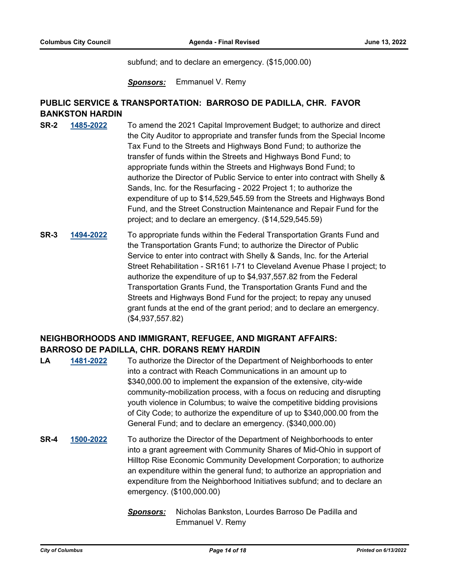subfund; and to declare an emergency. (\$15,000.00)

*Sponsors:* Emmanuel V. Remy

## **PUBLIC SERVICE & TRANSPORTATION: BARROSO DE PADILLA, CHR. FAVOR BANKSTON HARDIN**

- **SR-2 [1485-2022](http://columbus.legistar.com/gateway.aspx?m=l&id=/matter.aspx?key=123003)** To amend the 2021 Capital Improvement Budget; to authorize and direct the City Auditor to appropriate and transfer funds from the Special Income Tax Fund to the Streets and Highways Bond Fund; to authorize the transfer of funds within the Streets and Highways Bond Fund; to appropriate funds within the Streets and Highways Bond Fund; to authorize the Director of Public Service to enter into contract with Shelly & Sands, Inc. for the Resurfacing - 2022 Project 1; to authorize the expenditure of up to \$14,529,545.59 from the Streets and Highways Bond Fund, and the Street Construction Maintenance and Repair Fund for the project; and to declare an emergency. (\$14,529,545.59)
- **SR-3 [1494-2022](http://columbus.legistar.com/gateway.aspx?m=l&id=/matter.aspx?key=123012)** To appropriate funds within the Federal Transportation Grants Fund and the Transportation Grants Fund; to authorize the Director of Public Service to enter into contract with Shelly & Sands, Inc. for the Arterial Street Rehabilitation - SR161 I-71 to Cleveland Avenue Phase I project; to authorize the expenditure of up to \$4,937,557.82 from the Federal Transportation Grants Fund, the Transportation Grants Fund and the Streets and Highways Bond Fund for the project; to repay any unused grant funds at the end of the grant period; and to declare an emergency. (\$4,937,557.82)

## **NEIGHBORHOODS AND IMMIGRANT, REFUGEE, AND MIGRANT AFFAIRS: BARROSO DE PADILLA, CHR. DORANS REMY HARDIN**

- **LA [1481-2022](http://columbus.legistar.com/gateway.aspx?m=l&id=/matter.aspx?key=122999)** To authorize the Director of the Department of Neighborhoods to enter into a contract with Reach Communications in an amount up to \$340,000.00 to implement the expansion of the extensive, city-wide community-mobilization process, with a focus on reducing and disrupting youth violence in Columbus; to waive the competitive bidding provisions of City Code; to authorize the expenditure of up to \$340,000.00 from the General Fund; and to declare an emergency. (\$340,000.00)
- **SR-4 [1500-2022](http://columbus.legistar.com/gateway.aspx?m=l&id=/matter.aspx?key=123018)** To authorize the Director of the Department of Neighborhoods to enter into a grant agreement with Community Shares of Mid-Ohio in support of Hilltop Rise Economic Community Development Corporation; to authorize an expenditure within the general fund; to authorize an appropriation and expenditure from the Neighborhood Initiatives subfund; and to declare an emergency. (\$100,000.00)
	- *Sponsors:* Nicholas Bankston, Lourdes Barroso De Padilla and Emmanuel V. Remy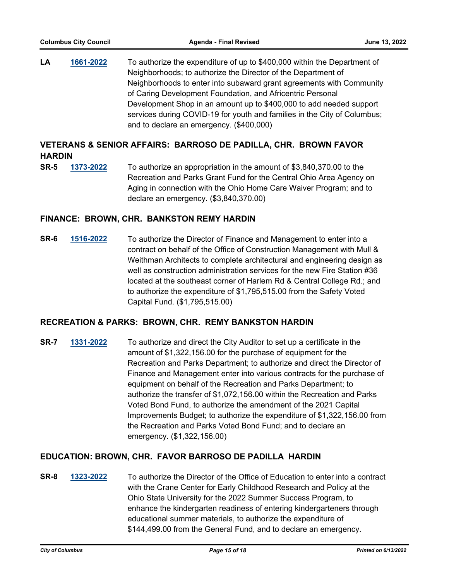**LA [1661-2022](http://columbus.legistar.com/gateway.aspx?m=l&id=/matter.aspx?key=123181)** To authorize the expenditure of up to \$400,000 within the Department of Neighborhoods; to authorize the Director of the Department of Neighborhoods to enter into subaward grant agreements with Community of Caring Development Foundation, and Africentric Personal Development Shop in an amount up to \$400,000 to add needed support services during COVID-19 for youth and families in the City of Columbus; and to declare an emergency. (\$400,000)

# **VETERANS & SENIOR AFFAIRS: BARROSO DE PADILLA, CHR. BROWN FAVOR HARDIN**

**SR-5 [1373-2022](http://columbus.legistar.com/gateway.aspx?m=l&id=/matter.aspx?key=122889)** To authorize an appropriation in the amount of \$3,840,370.00 to the Recreation and Parks Grant Fund for the Central Ohio Area Agency on Aging in connection with the Ohio Home Care Waiver Program; and to declare an emergency. (\$3,840,370.00)

#### **FINANCE: BROWN, CHR. BANKSTON REMY HARDIN**

**SR-6 [1516-2022](http://columbus.legistar.com/gateway.aspx?m=l&id=/matter.aspx?key=123034)** To authorize the Director of Finance and Management to enter into a contract on behalf of the Office of Construction Management with Mull & Weithman Architects to complete architectural and engineering design as well as construction administration services for the new Fire Station #36 located at the southeast corner of Harlem Rd & Central College Rd.; and to authorize the expenditure of \$1,795,515.00 from the Safety Voted Capital Fund. (\$1,795,515.00)

#### **RECREATION & PARKS: BROWN, CHR. REMY BANKSTON HARDIN**

**SR-7 [1331-2022](http://columbus.legistar.com/gateway.aspx?m=l&id=/matter.aspx?key=122847)** To authorize and direct the City Auditor to set up a certificate in the amount of \$1,322,156.00 for the purchase of equipment for the Recreation and Parks Department; to authorize and direct the Director of Finance and Management enter into various contracts for the purchase of equipment on behalf of the Recreation and Parks Department; to authorize the transfer of \$1,072,156.00 within the Recreation and Parks Voted Bond Fund, to authorize the amendment of the 2021 Capital Improvements Budget; to authorize the expenditure of \$1,322,156.00 from the Recreation and Parks Voted Bond Fund; and to declare an emergency. (\$1,322,156.00)

#### **EDUCATION: BROWN, CHR. FAVOR BARROSO DE PADILLA HARDIN**

**SR-8 [1323-2022](http://columbus.legistar.com/gateway.aspx?m=l&id=/matter.aspx?key=122839)** To authorize the Director of the Office of Education to enter into a contract with the Crane Center for Early Childhood Research and Policy at the Ohio State University for the 2022 Summer Success Program, to enhance the kindergarten readiness of entering kindergarteners through educational summer materials, to authorize the expenditure of \$144,499.00 from the General Fund, and to declare an emergency.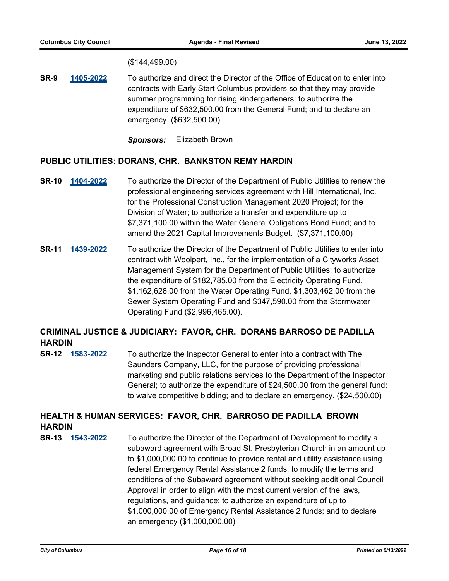(\$144,499.00)

**SR-9 [1405-2022](http://columbus.legistar.com/gateway.aspx?m=l&id=/matter.aspx?key=122922)** To authorize and direct the Director of the Office of Education to enter into contracts with Early Start Columbus providers so that they may provide summer programming for rising kindergarteners; to authorize the expenditure of \$632,500.00 from the General Fund; and to declare an emergency. (\$632,500.00)

*Sponsors:* Elizabeth Brown

#### **PUBLIC UTILITIES: DORANS, CHR. BANKSTON REMY HARDIN**

- **SR-10 [1404-2022](http://columbus.legistar.com/gateway.aspx?m=l&id=/matter.aspx?key=122921)** To authorize the Director of the Department of Public Utilities to renew the professional engineering services agreement with Hill International, Inc. for the Professional Construction Management 2020 Project; for the Division of Water; to authorize a transfer and expenditure up to \$7,371,100.00 within the Water General Obligations Bond Fund; and to amend the 2021 Capital Improvements Budget. (\$7,371,100.00)
- **SR-11 [1439-2022](http://columbus.legistar.com/gateway.aspx?m=l&id=/matter.aspx?key=122956)** To authorize the Director of the Department of Public Utilities to enter into contract with Woolpert, Inc., for the implementation of a Cityworks Asset Management System for the Department of Public Utilities; to authorize the expenditure of \$182,785.00 from the Electricity Operating Fund, \$1,162,628.00 from the Water Operating Fund, \$1,303,462.00 from the Sewer System Operating Fund and \$347,590.00 from the Stormwater Operating Fund (\$2,996,465.00).

# **CRIMINAL JUSTICE & JUDICIARY: FAVOR, CHR. DORANS BARROSO DE PADILLA HARDIN**

**SR-12 [1583-2022](http://columbus.legistar.com/gateway.aspx?m=l&id=/matter.aspx?key=123102)** To authorize the Inspector General to enter into a contract with The Saunders Company, LLC, for the purpose of providing professional marketing and public relations services to the Department of the Inspector General; to authorize the expenditure of \$24,500.00 from the general fund; to waive competitive bidding; and to declare an emergency. (\$24,500.00)

# **HEALTH & HUMAN SERVICES: FAVOR, CHR. BARROSO DE PADILLA BROWN HARDIN**

**SR-13 [1543-2022](http://columbus.legistar.com/gateway.aspx?m=l&id=/matter.aspx?key=123061)** To authorize the Director of the Department of Development to modify a subaward agreement with Broad St. Presbyterian Church in an amount up to \$1,000,000.00 to continue to provide rental and utility assistance using federal Emergency Rental Assistance 2 funds; to modify the terms and conditions of the Subaward agreement without seeking additional Council Approval in order to align with the most current version of the laws, regulations, and guidance; to authorize an expenditure of up to \$1,000,000.00 of Emergency Rental Assistance 2 funds; and to declare an emergency (\$1,000,000.00)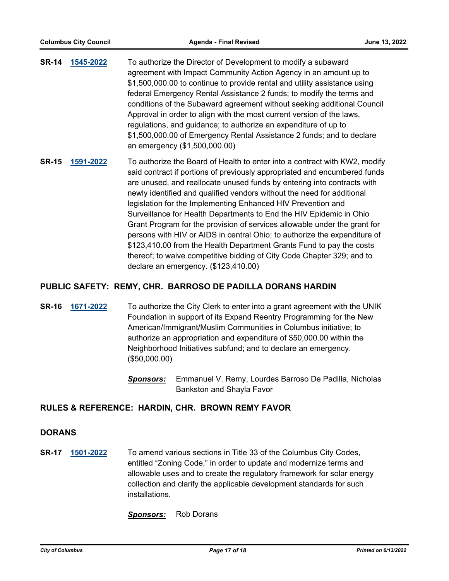| <b>SR-14</b> | 1545-2022 | To authorize the Director of Development to modify a subaward             |
|--------------|-----------|---------------------------------------------------------------------------|
|              |           | agreement with Impact Community Action Agency in an amount up to          |
|              |           | \$1,500,000.00 to continue to provide rental and utility assistance using |
|              |           | federal Emergency Rental Assistance 2 funds; to modify the terms and      |
|              |           | conditions of the Subaward agreement without seeking additional Council   |
|              |           | Approval in order to align with the most current version of the laws,     |
|              |           | regulations, and guidance; to authorize an expenditure of up to           |
|              |           | \$1,500,000.00 of Emergency Rental Assistance 2 funds; and to declare     |
|              |           | an emergency (\$1,500,000.00)                                             |

```
SR-15 1591-2022 To authorize the Board of Health to enter into a contract with KW2, modify 
            said contract if portions of previously appropriated and encumbered funds 
            are unused, and reallocate unused funds by entering into contracts with 
            newly identified and qualified vendors without the need for additional 
            legislation for the Implementing Enhanced HIV Prevention and 
            Surveillance for Health Departments to End the HIV Epidemic in Ohio 
            Grant Program for the provision of services allowable under the grant for 
            persons with HIV or AIDS in central Ohio; to authorize the expenditure of 
            $123,410.00 from the Health Department Grants Fund to pay the costs 
            thereof; to waive competitive bidding of City Code Chapter 329; and to 
            declare an emergency. ($123,410.00)
```
#### **PUBLIC SAFETY: REMY, CHR. BARROSO DE PADILLA DORANS HARDIN**

- **SR-16 [1671-2022](http://columbus.legistar.com/gateway.aspx?m=l&id=/matter.aspx?key=123191)** To authorize the City Clerk to enter into a grant agreement with the UNIK Foundation in support of its Expand Reentry Programming for the New American/Immigrant/Muslim Communities in Columbus initiative; to authorize an appropriation and expenditure of \$50,000.00 within the Neighborhood Initiatives subfund; and to declare an emergency. (\$50,000.00)
	- *Sponsors:* Emmanuel V. Remy, Lourdes Barroso De Padilla, Nicholas Bankston and Shayla Favor

#### **RULES & REFERENCE: HARDIN, CHR. BROWN REMY FAVOR**

#### **DORANS**

- **SR-17 [1501-2022](http://columbus.legistar.com/gateway.aspx?m=l&id=/matter.aspx?key=123019)** To amend various sections in Title 33 of the Columbus City Codes, entitled "Zoning Code," in order to update and modernize terms and allowable uses and to create the regulatory framework for solar energy collection and clarify the applicable development standards for such installations.
	- *Sponsors:* Rob Dorans